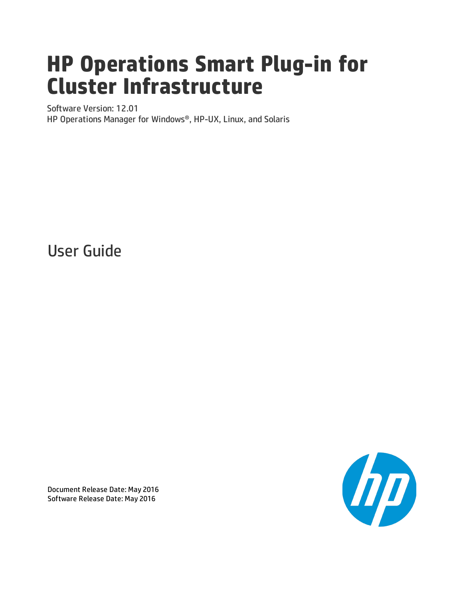# **HP Operations Smart Plug-in for Cluster Infrastructure**

Software Version: 12.01 HP Operations Manager for Windows®, HP-UX, Linux, and Solaris

User Guide



Document Release Date: May 2016 Software Release Date: May 2016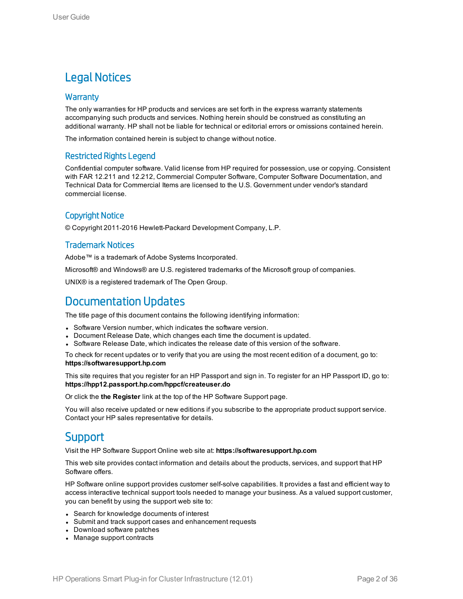### Legal Notices

#### **Warranty**

The only warranties for HP products and services are set forth in the express warranty statements accompanying such products and services. Nothing herein should be construed as constituting an additional warranty. HP shall not be liable for technical or editorial errors or omissions contained herein.

The information contained herein is subject to change without notice.

#### Restricted Rights Legend

Confidential computer software. Valid license from HP required for possession, use or copying. Consistent with FAR 12.211 and 12.212, Commercial Computer Software, Computer Software Documentation, and Technical Data for Commercial Items are licensed to the U.S. Government under vendor's standard commercial license.

#### Copyright Notice

© Copyright 2011-2016 Hewlett-Packard Development Company, L.P.

#### Trademark Notices

Adobe™ is a trademark of Adobe Systems Incorporated.

Microsoft® and Windows® are U.S. registered trademarks of the Microsoft group of companies.

UNIX® is a registered trademark of The Open Group.

### Documentation Updates

The title page of this document contains the following identifying information:

- Software Version number, which indicates the software version.
- Document Release Date, which changes each time the document is updated.
- Software Release Date, which indicates the release date of this version of the software.

To check for recent updates or to verify that you are using the most recent edition of a document, go to: **https://softwaresupport.hp.com**

This site requires that you register for an HP Passport and sign in. To register for an HP Passport ID, go to: **https://hpp12.passport.hp.com/hppcf/createuser.do**

Or click the **the Register** link at the top of the HP Software Support page.

You will also receive updated or new editions if you subscribe to the appropriate product support service. Contact your HP sales representative for details.

### **Support**

Visit the HP Software Support Online web site at: **https://softwaresupport.hp.com**

This web site provides contact information and details about the products, services, and support that HP Software offers.

HP Software online support provides customer self-solve capabilities. It provides a fast and efficient way to access interactive technical support tools needed to manage your business. As a valued support customer, you can benefit by using the support web site to:

- Search for knowledge documents of interest
- Submit and track support cases and enhancement requests
- Download software patches
- Manage support contracts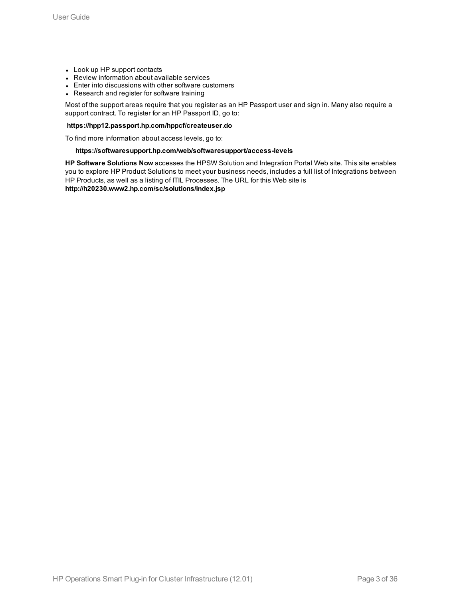- Look up HP support contacts
- Review information about available services
- Enter into discussions with other software customers
- Research and register for software training

Most of the support areas require that you register as an HP Passport user and sign in. Many also require a support contract. To register for an HP Passport ID, go to:

#### **https://hpp12.passport.hp.com/hppcf/createuser.do**

To find more information about access levels, go to:

#### **https://softwaresupport.hp.com/web/softwaresupport/access-levels**

**HP Software Solutions Now** accesses the HPSW Solution and Integration Portal Web site. This site enables you to explore HP Product Solutions to meet your business needs, includes a full list of Integrations between HP Products, as well as a listing of ITIL Processes. The URL for this Web site is **http://h20230.www2.hp.com/sc/solutions/index.jsp**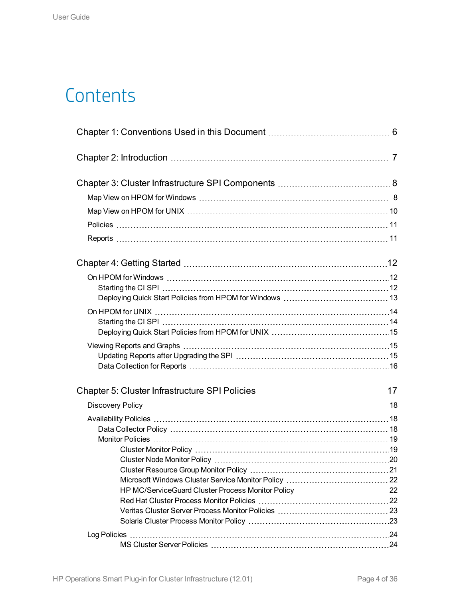# **Contents**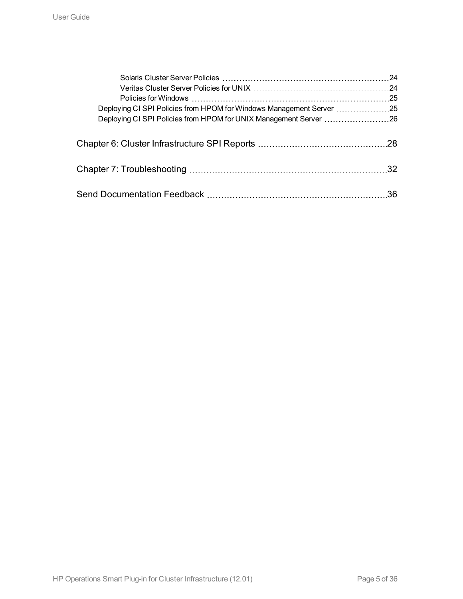| -24              |
|------------------|
|                  |
| 25               |
|                  |
|                  |
|                  |
| .32 <sub>0</sub> |
| .36              |
|                  |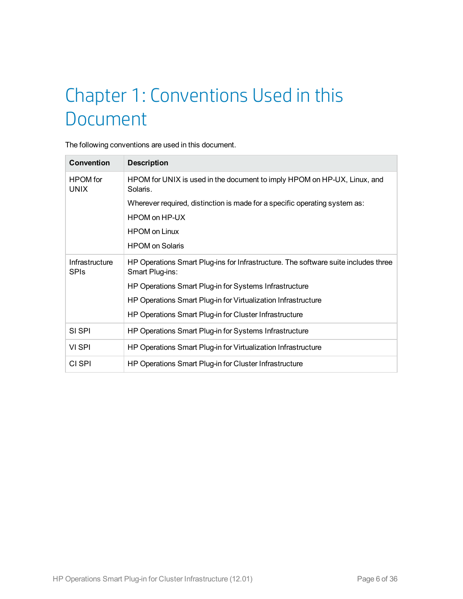# <span id="page-5-0"></span>Chapter 1: Conventions Used in this Document

The following conventions are used in this document.

| <b>Convention</b>              | <b>Description</b>                                                                                    |
|--------------------------------|-------------------------------------------------------------------------------------------------------|
| <b>HPOM</b> for<br><b>UNIX</b> | HPOM for UNIX is used in the document to imply HPOM on HP-UX, Linux, and<br>Solaris.                  |
|                                | Wherever required, distinction is made for a specific operating system as:                            |
|                                | HPOM on HP-UX                                                                                         |
|                                | <b>HPOM on Linux</b>                                                                                  |
|                                | <b>HPOM</b> on Solaris                                                                                |
| Infrastructure<br><b>SPIS</b>  | HP Operations Smart Plug-ins for Infrastructure. The software suite includes three<br>Smart Plug-ins: |
|                                | HP Operations Smart Plug-in for Systems Infrastructure                                                |
|                                | HP Operations Smart Plug-in for Virtualization Infrastructure                                         |
|                                | HP Operations Smart Plug-in for Cluster Infrastructure                                                |
| SI SPI                         | HP Operations Smart Plug-in for Systems Infrastructure                                                |
| VI SPI                         | HP Operations Smart Plug-in for Virtualization Infrastructure                                         |
| CI SPI                         | HP Operations Smart Plug-in for Cluster Infrastructure                                                |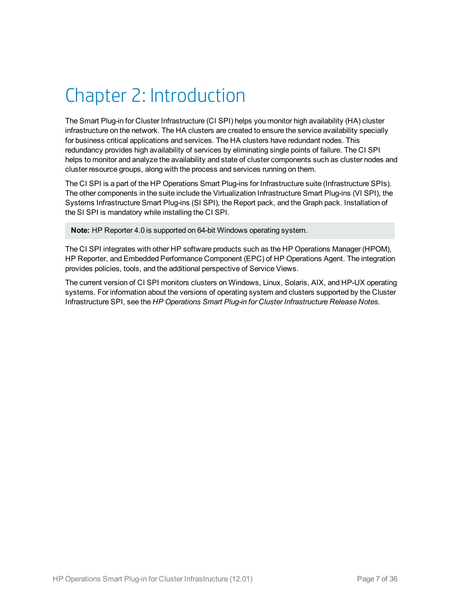# <span id="page-6-0"></span>Chapter 2: Introduction

The Smart Plug-in for Cluster Infrastructure (CI SPI) helps you monitor high availability (HA) cluster infrastructure on the network. The HA clusters are created to ensure the service availability specially for business critical applications and services. The HA clusters have redundant nodes. This redundancy provides high availability of services by eliminating single points of failure. The CI SPI helps to monitor and analyze the availability and state of cluster components such as cluster nodes and cluster resource groups, along with the process and services running on them.

The CI SPI is a part of the HP Operations Smart Plug-ins for Infrastructure suite (Infrastructure SPIs). The other components in the suite include the Virtualization Infrastructure Smart Plug-ins (VI SPI), the Systems Infrastructure Smart Plug-ins (SI SPI), the Report pack, and the Graph pack. Installation of the SI SPI is mandatory while installing the CI SPI.

**Note:** HP Reporter 4.0 is supported on 64-bit Windows operating system.

The CI SPI integrates with other HP software products such as the HP Operations Manager (HPOM), HP Reporter, and Embedded Performance Component (EPC) of HP Operations Agent. The integration provides policies, tools, and the additional perspective of Service Views.

The current version of CI SPI monitors clusters on Windows, Linux, Solaris, AIX, and HP-UX operating systems. For information about the versions of operating system and clusters supported by the Cluster Infrastructure SPI, see the *HP Operations Smart Plug-in for Cluster Infrastructure Release Notes.*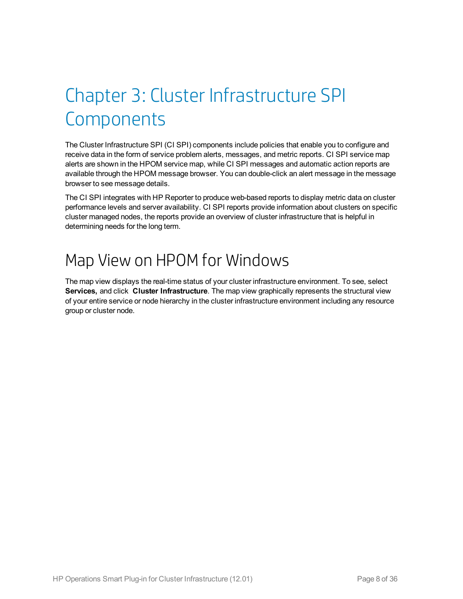# <span id="page-7-0"></span>Chapter 3: Cluster Infrastructure SPI **Components**

The Cluster Infrastructure SPI (CI SPI) components include policies that enable you to configure and receive data in the form of service problem alerts, messages, and metric reports. CI SPI service map alerts are shown in the HPOM service map, while CI SPI messages and automatic action reports are available through the HPOM message browser. You can double-click an alert message in the message browser to see message details.

The CI SPI integrates with HP Reporter to produce web-based reports to display metric data on cluster performance levels and server availability. CI SPI reports provide information about clusters on specific cluster managed nodes, the reports provide an overview of cluster infrastructure that is helpful in determining needs for the long term.

## <span id="page-7-1"></span>Map View on HPOM for Windows

The map view displays the real-time status of your cluster infrastructure environment. To see, select **Services,** and click **Cluster Infrastructure**. The map view graphically represents the structural view of your entire service or node hierarchy in the cluster infrastructure environment including any resource group or cluster node.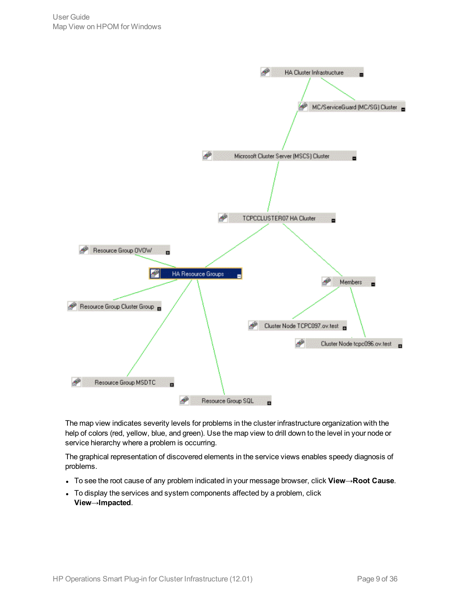

The map view indicates severity levels for problems in the cluster infrastructure organization with the help of colors (red, yellow, blue, and green). Use the map view to drill down to the level in your node or service hierarchy where a problem is occurring.

The graphical representation of discovered elements in the service views enables speedy diagnosis of problems.

- <sup>l</sup> To see the root cause of any problem indicated in your message browser, click **View**→**Root Cause**.
- To display the services and system components affected by a problem, click **View**→**Impacted**.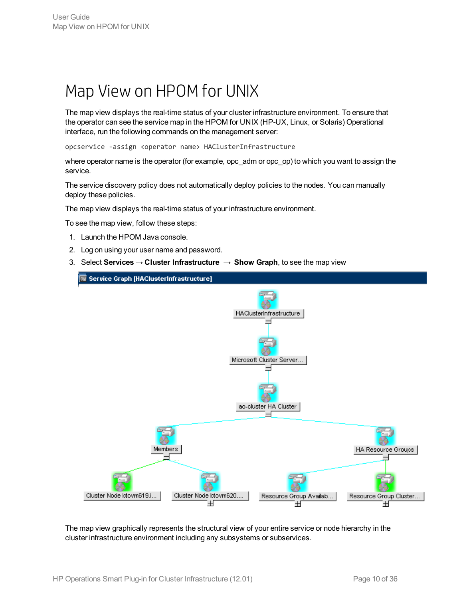## <span id="page-9-0"></span>Map View on HPOM for UNIX

The map view displays the real-time status of your cluster infrastructure environment. To ensure that the operator can see the service map in the HPOM for UNIX (HP-UX, Linux, or Solaris) Operational interface, run the following commands on the management server:

opcservice -assign <operator name> HAClusterInfrastructure

where operator name is the operator (for example, opc\_adm or opc\_op) to which you want to assign the service.

The service discovery policy does not automatically deploy policies to the nodes. You can manually deploy these policies.

The map view displays the real-time status of your infrastructure environment.

To see the map view, follow these steps:

- 1. Launch the HPOM Java console.
- 2. Log on using your user name and password.
- 3. Select **Services** → **Cluster Infrastructure** → **Show Graph**, to see the map view



The map view graphically represents the structural view of your entire service or node hierarchy in the cluster infrastructure environment including any subsystems or subservices.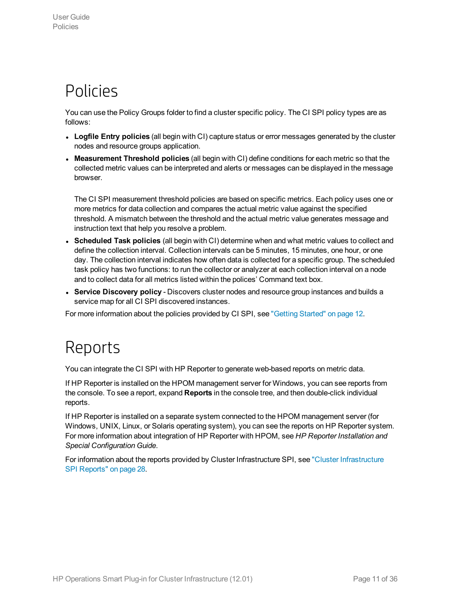## <span id="page-10-0"></span>Policies

You can use the Policy Groups folder to find a cluster specific policy. The CI SPI policy types are as follows:

- <sup>l</sup> **Logfile Entry policies** (all begin with CI) capture status or error messages generated by the cluster nodes and resource groups application.
- <sup>l</sup> **Measurement Threshold policies** (all begin with CI) define conditions for each metric so that the collected metric values can be interpreted and alerts or messages can be displayed in the message browser.

The CI SPI measurement threshold policies are based on specific metrics. Each policy uses one or more metrics for data collection and compares the actual metric value against the specified threshold. A mismatch between the threshold and the actual metric value generates message and instruction text that help you resolve a problem.

- <sup>l</sup> **Scheduled Task policies** (all begin with CI) determine when and what metric values to collect and define the collection interval. Collection intervals can be 5 minutes, 15 minutes, one hour, or one day. The collection interval indicates how often data is collected for a specific group. The scheduled task policy has two functions: to run the collector or analyzer at each collection interval on a node and to collect data for all metrics listed within the polices' Command text box.
- <sup>l</sup> **Service Discovery policy** Discovers cluster nodes and resource group instances and builds a service map for all CI SPI discovered instances.

<span id="page-10-1"></span>For more information about the policies provided by CI SPI, see ["Getting](#page-11-0) Started" on page 12.

## Reports

You can integrate the CI SPI with HP Reporter to generate web-based reports on metric data.

If HP Reporter is installed on the HPOM management server for Windows, you can see reports from the console. To see a report, expand **Reports** in the console tree, and then double-click individual reports.

If HP Reporter is installed on a separate system connected to the HPOM management server (for Windows, UNIX, Linux, or Solaris operating system), you can see the reports on HP Reporter system. For more information about integration of HP Reporter with HPOM, see *HP Reporter Installation and Special Configuration Guide*.

For information about the reports provided by Cluster Infrastructure SPI, see "Cluster [Infrastructure](#page-27-0) SPI [Reports"](#page-27-0) on page 28.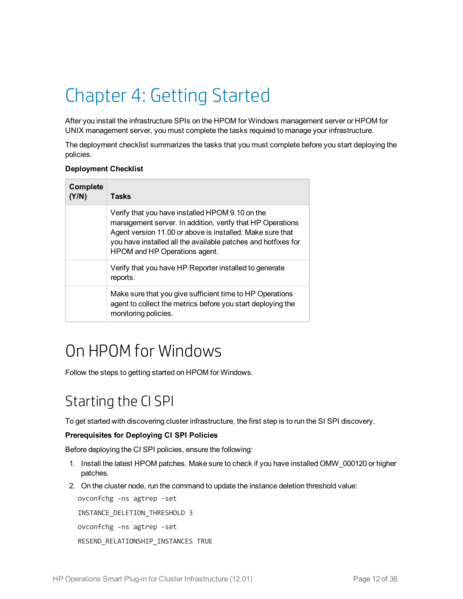# <span id="page-11-0"></span>Chapter 4: Getting Started

After you install the infrastructure SPIs on the HPOM for Windows management server or HPOM for UNIX management server, you must complete the tasks required to manage your infrastructure.

The deployment checklist summarizes the tasks that you must complete before you start deploying the policies.

#### **Deployment Checklist**

| Complete<br>(Y/N) | Tasks                                                                                                                                                                                                                                                                       |
|-------------------|-----------------------------------------------------------------------------------------------------------------------------------------------------------------------------------------------------------------------------------------------------------------------------|
|                   | Verify that you have installed HPOM 9.10 on the<br>management server. In addition, verify that HP Operations<br>Agent version 11.00 or above is installed. Make sure that<br>you have installed all the available patches and hotfixes for<br>HPOM and HP Operations agent. |
|                   | Verify that you have HP Reporter installed to generate<br>reports.                                                                                                                                                                                                          |
|                   | Make sure that you give sufficient time to HP Operations<br>agent to collect the metrics before you start deploying the<br>monitoring policies.                                                                                                                             |

## <span id="page-11-1"></span>On HPOM for Windows

<span id="page-11-2"></span>Follow the steps to getting started on HPOM for Windows.

## Starting the CI SPI

To get started with discovering cluster infrastructure, the first step is to run the SI SPI discovery.

#### **Prerequisites for Deploying CI SPI Policies**

Before deploying the CI SPI policies, ensure the following:

- 1. Install the latest HPOM patches. Make sure to check if you have installed OMW\_000120 or higher patches.
- 2. On the cluster node, run the command to update the instance deletion threshold value:

ovconfchg -ns agtrep -set INSTANCE\_DELETION\_THRESHOLD 3 ovconfchg -ns agtrep -set RESEND\_RELATIONSHIP\_INSTANCES TRUE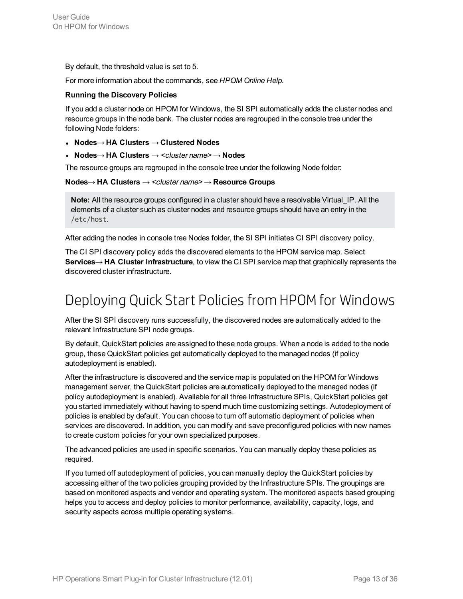By default, the threshold value is set to 5.

For more information about the commands, see *HPOM Online Help*.

#### **Running the Discovery Policies**

If you add a cluster node on HPOM for Windows, the SI SPI automatically adds the cluster nodes and resource groups in the node bank. The cluster nodes are regrouped in the console tree under the following Node folders:

- <sup>l</sup> **Nodes**→ **HA Clusters** → **Clustered Nodes**
- <sup>l</sup> **Nodes**→ **HA Clusters** → <cluster name> → **Nodes**

The resource groups are regrouped in the console tree under the following Node folder:

#### **Nodes**→ **HA Clusters** → <cluster name> → **Resource Groups**

**Note:** All the resource groups configured in a cluster should have a resolvable Virtual\_IP. All the elements of a cluster such as cluster nodes and resource groups should have an entry in the /etc/host.

After adding the nodes in console tree Nodes folder, the SI SPI initiates CI SPI discovery policy.

The CI SPI discovery policy adds the discovered elements to the HPOM service map. Select **Services**→ **HA Cluster Infrastructure**, to view the CI SPI service map that graphically represents the discovered cluster infrastructure.

## <span id="page-12-0"></span>Deploying Quick Start Policies from HPOMfor Windows

After the SI SPI discovery runs successfully, the discovered nodes are automatically added to the relevant Infrastructure SPI node groups.

By default, QuickStart policies are assigned to these node groups. When a node is added to the node group, these QuickStart policies get automatically deployed to the managed nodes (if policy autodeployment is enabled).

After the infrastructure is discovered and the service map is populated on the HPOM for Windows management server, the QuickStart policies are automatically deployed to the managed nodes (if policy autodeployment is enabled). Available for all three Infrastructure SPIs, QuickStart policies get you started immediately without having to spend much time customizing settings. Autodeployment of policies is enabled by default. You can choose to turn off automatic deployment of policies when services are discovered. In addition, you can modify and save preconfigured policies with new names to create custom policies for your own specialized purposes.

The advanced policies are used in specific scenarios. You can manually deploy these policies as required.

If you turned off autodeployment of policies, you can manually deploy the QuickStart policies by accessing either of the two policies grouping provided by the Infrastructure SPIs. The groupings are based on monitored aspects and vendor and operating system. The monitored aspects based grouping helps you to access and deploy policies to monitor performance, availability, capacity, logs, and security aspects across multiple operating systems.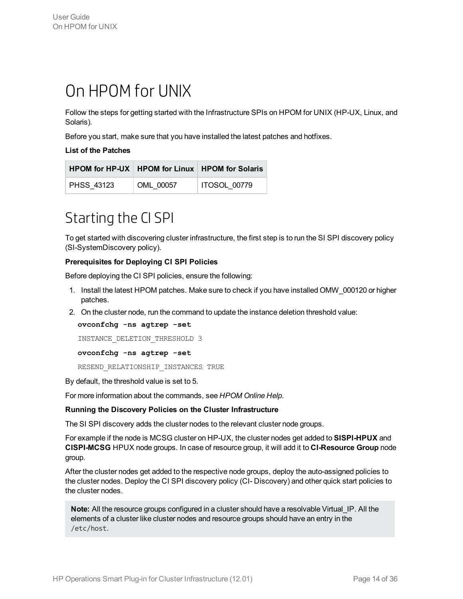## <span id="page-13-0"></span>On HPOM for UNIX

Follow the steps for getting started with the Infrastructure SPIs on HPOM for UNIX (HP-UX, Linux, and Solaris).

Before you start, make sure that you have installed the latest patches and hotfixes.

#### **List of the Patches**

|            |           | HPOM for HP-UX   HPOM for Linux   HPOM for Solaris |
|------------|-----------|----------------------------------------------------|
| PHSS 43123 | OML 00057 | ITOSOL 00779                                       |

## <span id="page-13-1"></span>Starting the CI SPI

To get started with discovering cluster infrastructure, the first step is to run the SI SPI discovery policy (SI-SystemDiscovery policy).

#### **Prerequisites for Deploying CI SPI Policies**

Before deploying the CI SPI policies, ensure the following:

- 1. Install the latest HPOM patches. Make sure to check if you have installed OMW\_000120 or higher patches.
- 2. On the cluster node, run the command to update the instance deletion threshold value:

**ovconfchg -ns agtrep -set**

```
INSTANCE_DELETION_THRESHOLD 3
```
**ovconfchg -ns agtrep -set**

RESEND\_RELATIONSHIP\_INSTANCES\_TRUE

By default, the threshold value is set to 5.

For more information about the commands, see *HPOM Online Help*.

#### **Running the Discovery Policies on the Cluster Infrastructure**

The SI SPI discovery adds the cluster nodes to the relevant cluster node groups.

For example if the node is MCSG cluster on HP-UX, the cluster nodes get added to **SISPI-HPUX** and **CISPI-MCSG** HPUX node groups. In case of resource group, it will add it to **CI-Resource Group** node group.

After the cluster nodes get added to the respective node groups, deploy the auto-assigned policies to the cluster nodes. Deploy the CI SPI discovery policy (CI- Discovery) and other quick start policies to the cluster nodes.

**Note:** All the resource groups configured in a cluster should have a resolvable Virtual IP. All the elements of a cluster like cluster nodes and resource groups should have an entry in the /etc/host.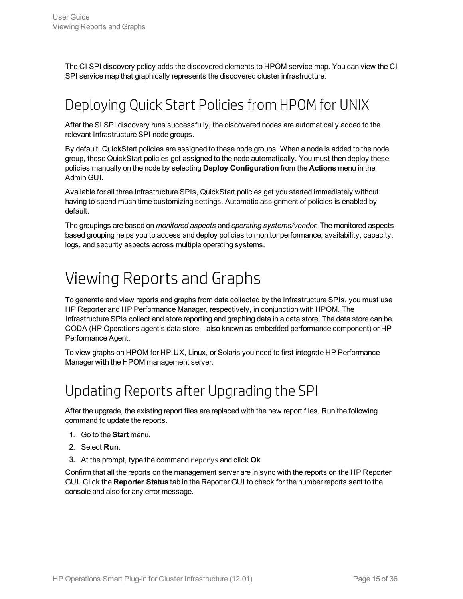<span id="page-14-0"></span>The CI SPI discovery policy adds the discovered elements to HPOM service map. You can view the CI SPI service map that graphically represents the discovered cluster infrastructure.

## Deploying Quick Start Policies from HPOMfor UNIX

After the SI SPI discovery runs successfully, the discovered nodes are automatically added to the relevant Infrastructure SPI node groups.

By default, QuickStart policies are assigned to these node groups. When a node is added to the node group, these QuickStart policies get assigned to the node automatically. You must then deploy these policies manually on the node by selecting **Deploy Configuration** from the **Actions** menu in the Admin GUI.

Available for all three Infrastructure SPIs, QuickStart policies get you started immediately without having to spend much time customizing settings. Automatic assignment of policies is enabled by default.

The groupings are based on *monitored aspects* and *operating systems/vendor*. The monitored aspects based grouping helps you to access and deploy policies to monitor performance, availability, capacity, logs, and security aspects across multiple operating systems.

## <span id="page-14-1"></span>Viewing Reports and Graphs

To generate and view reports and graphs from data collected by the Infrastructure SPIs, you must use HP Reporter and HP Performance Manager, respectively, in conjunction with HPOM. The Infrastructure SPIs collect and store reporting and graphing data in a data store. The data store can be CODA (HP Operations agent's data store—also known as embedded performance component) or HP Performance Agent.

<span id="page-14-2"></span>To view graphs on HPOM for HP-UX, Linux, or Solaris you need to first integrate HP Performance Manager with the HPOM management server.

## Updating Reports after Upgrading the SPI

After the upgrade, the existing report files are replaced with the new report files. Run the following command to update the reports.

- 1. Go to the **Start** menu.
- 2. Select **Run**.
- 3. At the prompt, type the command repcrys and click **Ok**.

Confirm that all the reports on the management server are in sync with the reports on the HP Reporter GUI. Click the **Reporter Status** tab in the Reporter GUI to check for the number reports sent to the console and also for any error message.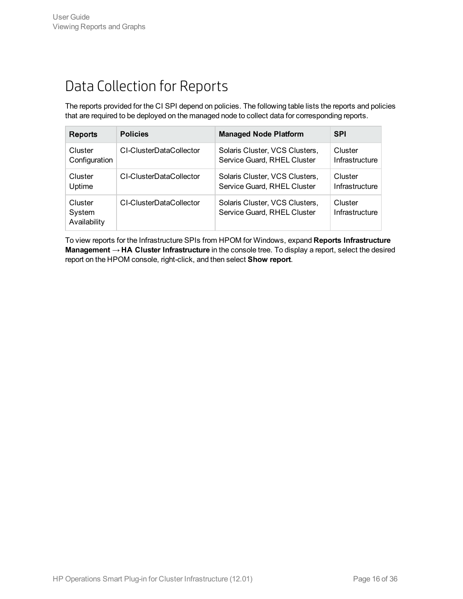## <span id="page-15-0"></span>Data Collection for Reports

The reports provided for the CI SPI depend on policies. The following table lists the reports and policies that are required to be deployed on the managed node to collect data for corresponding reports.

| <b>Reports</b>                    | <b>Policies</b>         | <b>Managed Node Platform</b>                                  | <b>SPI</b>                |
|-----------------------------------|-------------------------|---------------------------------------------------------------|---------------------------|
| Cluster                           | CI-ClusterDataCollector | Solaris Cluster, VCS Clusters,                                | Cluster                   |
| Configuration                     |                         | Service Guard, RHEL Cluster                                   | Infrastructure            |
| Cluster                           | CI-ClusterDataCollector | Solaris Cluster, VCS Clusters,                                | Cluster                   |
| Uptime                            |                         | Service Guard, RHEL Cluster                                   | Infrastructure            |
| Cluster<br>System<br>Availability | CI-ClusterDataCollector | Solaris Cluster, VCS Clusters,<br>Service Guard, RHEL Cluster | Cluster<br>Infrastructure |

To view reports for the Infrastructure SPIs from HPOM for Windows, expand **Reports Infrastructure Management** → **HA Cluster Infrastructure** in the console tree. To display a report, select the desired report on the HPOM console, right-click, and then select **Show report**.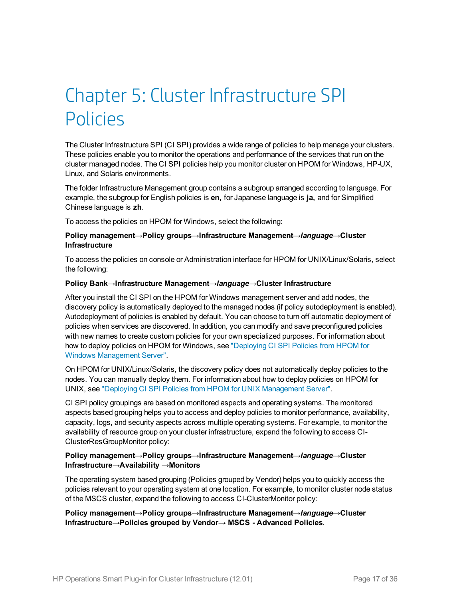# <span id="page-16-0"></span>Chapter 5: Cluster Infrastructure SPI Policies

The Cluster Infrastructure SPI (CI SPI) provides a wide range of policies to help manage your clusters. These policies enable you to monitor the operations and performance of the services that run on the cluster managed nodes. The CI SPI policies help you monitor cluster on HPOM for Windows, HP-UX, Linux, and Solaris environments.

The folder Infrastructure Management group contains a subgroup arranged according to language. For example, the subgroup for English policies is **en,** for Japanese language is **ja,** and for Simplified Chinese language is **zh**.

To access the policies on HPOM for Windows, select the following:

#### **Policy management**→**Policy groups**→**Infrastructure Management**→*language*→**Cluster Infrastructure**

To access the policies on console or Administration interface for HPOM for UNIX/Linux/Solaris, select the following:

#### **Policy Bank**→**Infrastructure Management**→*language*→**Cluster Infrastructure**

After you install the CI SPI on the HPOM for Windows management server and add nodes, the discovery policy is automatically deployed to the managed nodes (if policy autodeployment is enabled). Autodeployment of policies is enabled by default. You can choose to turn off automatic deployment of policies when services are discovered. In addition, you can modify and save preconfigured policies with new names to create custom policies for your own specialized purposes. For information about how to deploy policies on HPOM for Windows, see ["Deploying](#page-24-1) CI SPI Policies from HPOM for Windows [Management](#page-24-1) Server".

On HPOM for UNIX/Linux/Solaris, the discovery policy does not automatically deploy policies to the nodes. You can manually deploy them. For information about how to deploy policies on HPOM for UNIX, see "Deploying CI SPI Policies from HPOM for UNIX [Management](#page-25-0) Server".

CI SPI policy groupings are based on monitored aspects and operating systems. The monitored aspects based grouping helps you to access and deploy policies to monitor performance, availability, capacity, logs, and security aspects across multiple operating systems. For example, to monitor the availability of resource group on your cluster infrastructure, expand the following to access CI-ClusterResGroupMonitor policy:

#### **Policy management**→**Policy groups**→**Infrastructure Management**→*language*→**Cluster Infrastructure**→**Availability** →**Monitors**

The operating system based grouping (Policies grouped by Vendor) helps you to quickly access the policies relevant to your operating system at one location. For example, to monitor cluster node status of the MSCS cluster, expand the following to access CI-ClusterMonitor policy:

#### **Policy management**→**Policy groups**→**Infrastructure Management**→*language*→**Cluster Infrastructure**→**Policies grouped by Vendor**→ **MSCS - Advanced Policies**.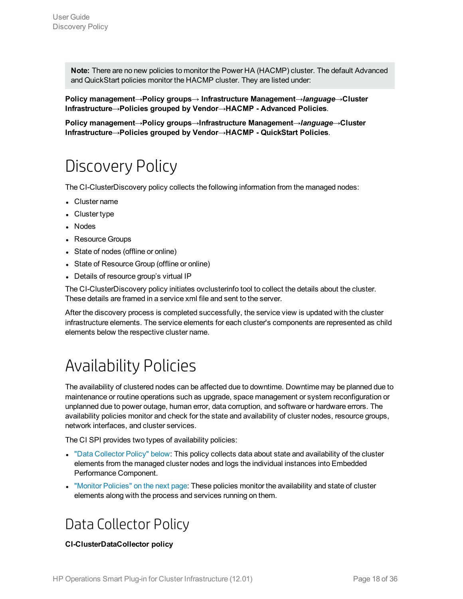**Note:** There are no new policies to monitor the Power HA (HACMP) cluster. The default Advanced and QuickStart policies monitor the HACMP cluster. They are listed under:

**Policy management**→**Policy groups**→ **Infrastructure Management**→*language*→**Cluster Infrastructure**→**Policies grouped by Vendor**→**HACMP - Advanced Policies**.

<span id="page-17-0"></span>**Policy management**→**Policy groups**→**Infrastructure Management**→*language*→**Cluster Infrastructure**→**Policies grouped by Vendor**→**HACMP - QuickStart Policies**.

## Discovery Policy

The CI-ClusterDiscovery policy collects the following information from the managed nodes:

- Cluster name
- Cluster type
- Nodes
- Resource Groups
- State of nodes (offline or online)
- State of Resource Group (offline or online)
- Details of resource group's virtual IP

The CI-ClusterDiscovery policy initiates ovclusterinfo tool to collect the details about the cluster. These details are framed in a service xml file and sent to the server.

After the discovery process is completed successfully, the service view is updated with the cluster infrastructure elements. The service elements for each cluster's components are represented as child elements below the respective cluster name.

## <span id="page-17-1"></span>Availability Policies

The availability of clustered nodes can be affected due to downtime. Downtime may be planned due to maintenance or routine operations such as upgrade, space management or system reconfiguration or unplanned due to power outage, human error, data corruption, and software or hardware errors. The availability policies monitor and check for the state and availability of cluster nodes, resource groups, network interfaces, and cluster services.

The CI SPI provides two types of availability policies:

- "Data [Collector](#page-17-2) Policy" below: This policy collects data about state and availability of the cluster elements from the managed cluster nodes and logs the individual instances into Embedded Performance Component.
- <span id="page-17-2"></span>• "Monitor [Policies"](#page-18-0) on the next page: These policies monitor the availability and state of cluster elements along with the process and services running on them.

### Data Collector Policy

#### **CI-ClusterDataCollector policy**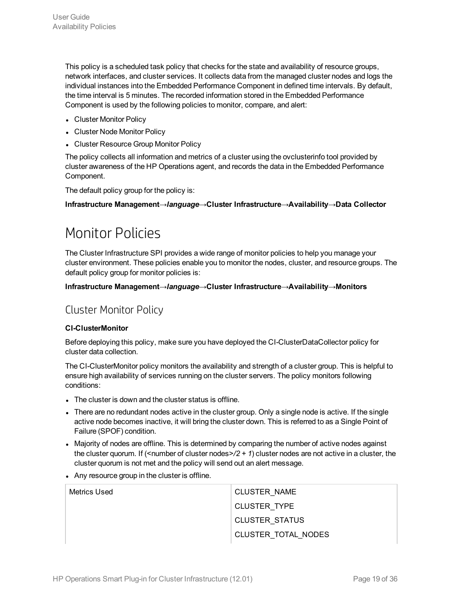This policy is a scheduled task policy that checks for the state and availability of resource groups, network interfaces, and cluster services. It collects data from the managed cluster nodes and logs the individual instances into the Embedded Performance Component in defined time intervals. By default, the time interval is 5 minutes. The recorded information stored in the Embedded Performance Component is used by the following policies to monitor, compare, and alert:

- Cluster Monitor Policy
- Cluster Node Monitor Policy
- Cluster Resource Group Monitor Policy

The policy collects all information and metrics of a cluster using the ovclusterinfo tool provided by cluster awareness of the HP Operations agent, and records the data in the Embedded Performance Component.

The default policy group for the policy is:

<span id="page-18-0"></span>**Infrastructure Management→***language***→Cluster Infrastructure→Availability→Data Collector**

### Monitor Policies

The Cluster Infrastructure SPI provides a wide range of monitor policies to help you manage your cluster environment. These policies enable you to monitor the nodes, cluster, and resource groups. The default policy group for monitor policies is:

<span id="page-18-1"></span>**Infrastructure Management→***language***→Cluster Infrastructure→Availability→Monitors**

### Cluster Monitor Policy

#### **CI-ClusterMonitor**

Before deploying this policy, make sure you have deployed the CI-ClusterDataCollector policy for cluster data collection.

The CI-ClusterMonitor policy monitors the availability and strength of a cluster group. This is helpful to ensure high availability of services running on the cluster servers. The policy monitors following conditions:

- The cluster is down and the cluster status is offline.
- There are no redundant nodes active in the cluster group. Only a single node is active. If the single active node becomes inactive, it will bring the cluster down. This is referred to as a Single Point of Failure (SPOF) condition.
- Majority of nodes are offline. This is determined by comparing the number of active nodes against the cluster quorum. If (<number of cluster nodes>*/2 + 1*) cluster nodes are not active in a cluster, the cluster quorum is not met and the policy will send out an alert message.
- Any resource group in the cluster is offline.

| Metrics Used | <b>CLUSTER NAME</b>   |
|--------------|-----------------------|
|              | <b>CLUSTER TYPE</b>   |
|              | <b>CLUSTER STATUS</b> |
|              | CLUSTER TOTAL NODES   |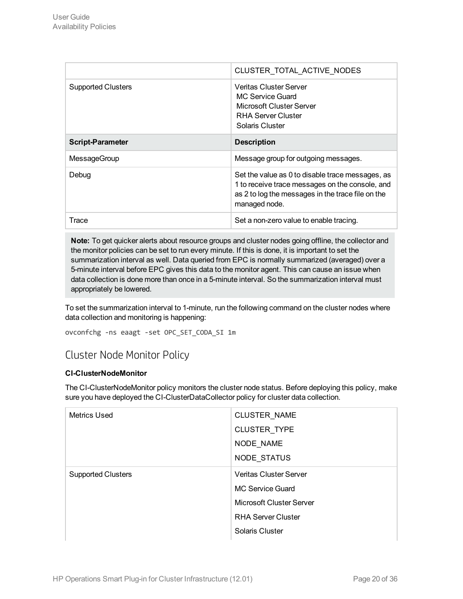|                           | CLUSTER TOTAL ACTIVE NODES                                                                                                                                                |
|---------------------------|---------------------------------------------------------------------------------------------------------------------------------------------------------------------------|
| <b>Supported Clusters</b> | <b>Veritas Cluster Server</b><br>MC Service Guard<br>Microsoft Cluster Server<br>RHA Server Cluster<br>Solaris Cluster                                                    |
| <b>Script-Parameter</b>   | <b>Description</b>                                                                                                                                                        |
| MessageGroup              | Message group for outgoing messages.                                                                                                                                      |
| Debug                     | Set the value as 0 to disable trace messages, as<br>1 to receive trace messages on the console, and<br>as 2 to log the messages in the trace file on the<br>managed node. |
|                           |                                                                                                                                                                           |

**Note:** To get quicker alerts about resource groups and cluster nodes going offline, the collector and the monitor policies can be set to run every minute. If this is done, it is important to set the summarization interval as well. Data queried from EPC is normally summarized (averaged) over a 5-minute interval before EPC gives this data to the monitor agent. This can cause an issue when data collection is done more than once in a 5-minute interval. So the summarization interval must appropriately be lowered.

To set the summarization interval to 1-minute, run the following command on the cluster nodes where data collection and monitoring is happening:

```
ovconfchg -ns eaagt -set OPC_SET_CODA_SI 1m
```
### Cluster Node Monitor Policy

#### **CI-ClusterNodeMonitor**

The CI-ClusterNodeMonitor policy monitors the cluster node status. Before deploying this policy, make sure you have deployed the CI-ClusterDataCollector policy for cluster data collection.

| <b>Metrics Used</b>       | <b>CLUSTER NAME</b>           |
|---------------------------|-------------------------------|
|                           | <b>CLUSTER TYPE</b>           |
|                           | NODE_NAME                     |
|                           | NODE STATUS                   |
| <b>Supported Clusters</b> | <b>Veritas Cluster Server</b> |
|                           | MC Service Guard              |
|                           | Microsoft Cluster Server      |
|                           | <b>RHA Server Cluster</b>     |
|                           | Solaris Cluster               |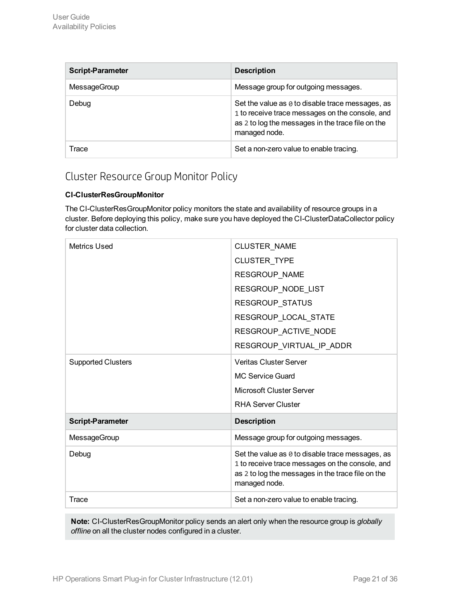| <b>Script-Parameter</b> | <b>Description</b>                                                                                                                                                               |
|-------------------------|----------------------------------------------------------------------------------------------------------------------------------------------------------------------------------|
| MessageGroup            | Message group for outgoing messages.                                                                                                                                             |
| Debug                   | Set the value as $\theta$ to disable trace messages, as<br>1 to receive trace messages on the console, and<br>as 2 to log the messages in the trace file on the<br>managed node. |
| Trace                   | Set a non-zero value to enable tracing.                                                                                                                                          |

### <span id="page-20-0"></span>Cluster Resource Group Monitor Policy

#### **CI-ClusterResGroupMonitor**

The CI-ClusterResGroupMonitor policy monitors the state and availability of resource groups in a cluster. Before deploying this policy, make sure you have deployed the CI-ClusterDataCollector policy for cluster data collection.

| <b>Metrics Used</b>       | <b>CLUSTER NAME</b>                                                                                                                                                       |
|---------------------------|---------------------------------------------------------------------------------------------------------------------------------------------------------------------------|
|                           | CLUSTER_TYPE                                                                                                                                                              |
|                           | RESGROUP_NAME                                                                                                                                                             |
|                           | RESGROUP_NODE_LIST                                                                                                                                                        |
|                           | RESGROUP_STATUS                                                                                                                                                           |
|                           | RESGROUP_LOCAL_STATE                                                                                                                                                      |
|                           | RESGROUP_ACTIVE_NODE                                                                                                                                                      |
|                           | RESGROUP_VIRTUAL_IP_ADDR                                                                                                                                                  |
| <b>Supported Clusters</b> | <b>Veritas Cluster Server</b>                                                                                                                                             |
|                           | <b>MC Service Guard</b>                                                                                                                                                   |
|                           | Microsoft Cluster Server                                                                                                                                                  |
|                           | <b>RHA Server Cluster</b>                                                                                                                                                 |
| <b>Script-Parameter</b>   | <b>Description</b>                                                                                                                                                        |
| MessageGroup              | Message group for outgoing messages.                                                                                                                                      |
| Debug                     | Set the value as 0 to disable trace messages, as<br>1 to receive trace messages on the console, and<br>as 2 to log the messages in the trace file on the<br>managed node. |
| Trace                     | Set a non-zero value to enable tracing.                                                                                                                                   |

**Note:** CI-ClusterResGroupMonitor policy sends an alert only when the resource group is *globally offline* on all the cluster nodes configured in a cluster.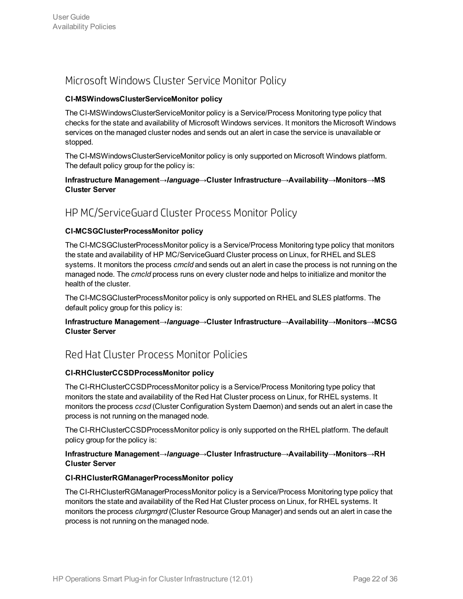### <span id="page-21-0"></span>Microsoft Windows Cluster Service Monitor Policy

#### **CI-MSWindowsClusterServiceMonitor policy**

The CI-MSWindowsClusterServiceMonitor policy is a Service/Process Monitoring type policy that checks for the state and availability of Microsoft Windows services. It monitors the Microsoft Windows services on the managed cluster nodes and sends out an alert in case the service is unavailable or stopped.

The CI-MSWindowsClusterServiceMonitor policy is only supported on Microsoft Windows platform. The default policy group for the policy is:

#### **Infrastructure Management→***language***→Cluster Infrastructure→Availability→Monitors→MS Cluster Server**

### <span id="page-21-1"></span>HP MC/ServiceGuard Cluster Process Monitor Policy

#### **CI-MCSGClusterProcessMonitor policy**

The CI-MCSGClusterProcessMonitor policy is a Service/Process Monitoring type policy that monitors the state and availability of HP MC/ServiceGuard Cluster process on Linux, for RHEL and SLES systems. It monitors the process *cmcld* and sends out an alert in case the process is not running on the managed node. The *cmcld* process runs on every cluster node and helps to initialize and monitor the health of the cluster.

The CI-MCSGClusterProcessMonitor policy is only supported on RHEL and SLES platforms. The default policy group for this policy is:

#### **Infrastructure Management→***language***→Cluster Infrastructure→Availability→Monitors→MCSG Cluster Server**

### <span id="page-21-2"></span>Red Hat Cluster Process Monitor Policies

#### **CI-RHClusterCCSDProcessMonitor policy**

The CI-RHClusterCCSDProcessMonitor policy is a Service/Process Monitoring type policy that monitors the state and availability of the Red Hat Cluster process on Linux, for RHEL systems. It monitors the process *ccsd* (Cluster Configuration System Daemon) and sends out an alert in case the process is not running on the managed node.

The CI-RHClusterCCSDProcessMonitor policy is only supported on the RHEL platform. The default policy group for the policy is:

#### **Infrastructure Management→***language***→Cluster Infrastructure→Availability→Monitors→RH Cluster Server**

#### **CI-RHClusterRGManagerProcessMonitor policy**

The CI-RHClusterRGManagerProcessMonitor policy is a Service/Process Monitoring type policy that monitors the state and availability of the Red Hat Cluster process on Linux, for RHEL systems. It monitors the process *clurgmgrd* (Cluster Resource Group Manager) and sends out an alert in case the process is not running on the managed node.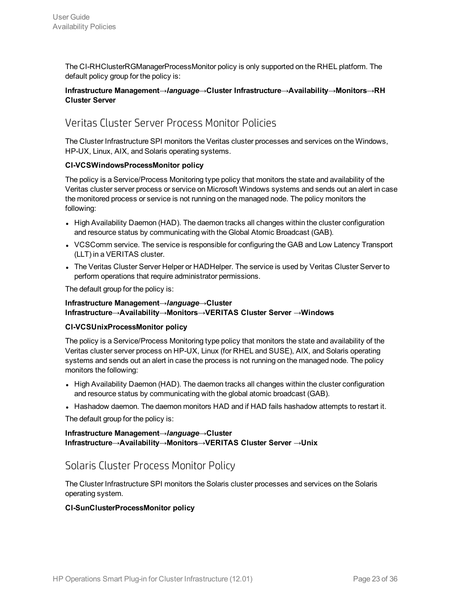The CI-RHClusterRGManagerProcessMonitor policy is only supported on the RHEL platform. The default policy group for the policy is:

#### **Infrastructure Management→***language***→Cluster Infrastructure→Availability→Monitors→RH Cluster Server**

### <span id="page-22-0"></span>Veritas Cluster Server Process Monitor Policies

The Cluster Infrastructure SPI monitors the Veritas cluster processes and services on the Windows, HP-UX, Linux, AIX, and Solaris operating systems.

#### **CI-VCSWindowsProcessMonitor policy**

The policy is a Service/Process Monitoring type policy that monitors the state and availability of the Veritas cluster server process or service on Microsoft Windows systems and sends out an alert in case the monitored process or service is not running on the managed node. The policy monitors the following:

- High Availability Daemon (HAD). The daemon tracks all changes within the cluster configuration and resource status by communicating with the Global Atomic Broadcast (GAB).
- VCSComm service. The service is responsible for configuring the GAB and Low Latency Transport (LLT) in a VERITAS cluster.
- The Veritas Cluster Server Helper or HADHelper. The service is used by Veritas Cluster Server to perform operations that require administrator permissions.

The default group for the policy is:

#### **Infrastructure Management→***language***→Cluster Infrastructure→Availability→Monitors→VERITAS Cluster Server →Windows**

#### **CI-VCSUnixProcessMonitor policy**

The policy is a Service/Process Monitoring type policy that monitors the state and availability of the Veritas cluster server process on HP-UX, Linux (for RHEL and SUSE), AIX, and Solaris operating systems and sends out an alert in case the process is not running on the managed node. The policy monitors the following:

- High Availability Daemon (HAD). The daemon tracks all changes within the cluster configuration and resource status by communicating with the global atomic broadcast (GAB).
- Hashadow daemon. The daemon monitors HAD and if HAD fails hashadow attempts to restart it.

The default group for the policy is:

#### **Infrastructure Management→***language***→Cluster Infrastructure→Availability→Monitors→VERITAS Cluster Server →Unix**

### <span id="page-22-1"></span>Solaris Cluster Process Monitor Policy

The Cluster Infrastructure SPI monitors the Solaris cluster processes and services on the Solaris operating system.

#### **CI-SunClusterProcessMonitor policy**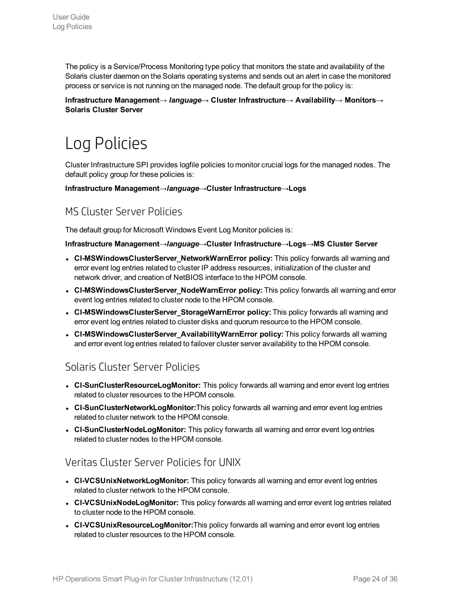The policy is a Service/Process Monitoring type policy that monitors the state and availability of the Solaris cluster daemon on the Solaris operating systems and sends out an alert in case the monitored process or service is not running on the managed node. The default group for the policy is:

<span id="page-23-0"></span>**Infrastructure Management→** *language***→ Cluster Infrastructure→ Availability→ Monitors→ Solaris Cluster Server**

## Log Policies

Cluster Infrastructure SPI provides logfile policies to monitor crucial logs for the managed nodes. The default policy group for these policies is:

<span id="page-23-1"></span>**Infrastructure Management→***language***→Cluster Infrastructure→Logs**

### MS Cluster Server Policies

The default group for Microsoft Windows Event Log Monitor policies is:

#### **Infrastructure Management→***language***→Cluster Infrastructure→Logs→MS Cluster Server**

- <sup>l</sup> **CI-MSWindowsClusterServer\_NetworkWarnError policy:** This policy forwards all warning and error event log entries related to cluster IP address resources, initialization of the cluster and network driver, and creation of NetBIOS interface to the HPOM console.
- **.** CI-MSWindowsClusterServer\_NodeWarnError policy: This policy forwards all warning and error event log entries related to cluster node to the HPOM console.
- <sup>l</sup> **CI-MSWindowsClusterServer\_StorageWarnError policy:** This policy forwards all warning and error event log entries related to cluster disks and quorum resource to the HPOM console.
- <sup>l</sup> **CI-MSWindowsClusterServer\_AvailabilityWarnError policy:** This policy forwards all warning and error event log entries related to failover cluster server availability to the HPOM console.

### <span id="page-23-2"></span>Solaris Cluster Server Policies

- **CI-SunClusterResourceLogMonitor:** This policy forwards all warning and error event log entries related to cluster resources to the HPOM console.
- **.** CI-SunClusterNetworkLogMonitor: This policy forwards all warning and error event log entries related to cluster network to the HPOM console.
- **CI-SunClusterNodeLogMonitor:** This policy forwards all warning and error event log entries related to cluster nodes to the HPOM console.

### <span id="page-23-3"></span>Veritas Cluster Server Policies for UNIX

- **.** CI-VCSUnixNetworkLogMonitor: This policy forwards all warning and error event log entries related to cluster network to the HPOM console.
- **CI-VCSUnixNodeLogMonitor:** This policy forwards all warning and error event log entries related to cluster node to the HPOM console.
- **.** CI-VCSUnixResourceLogMonitor: This policy forwards all warning and error event log entries related to cluster resources to the HPOM console.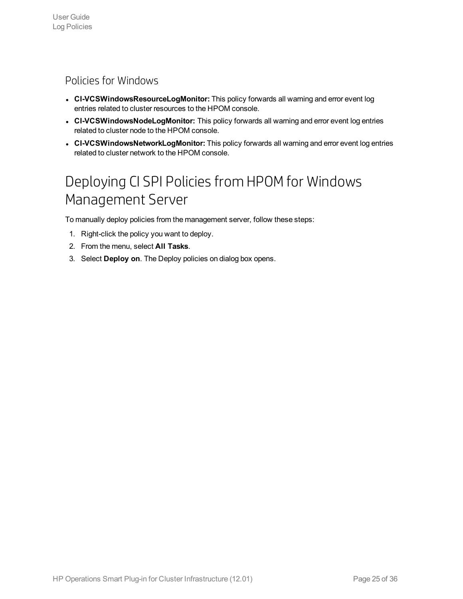### <span id="page-24-0"></span>Policies for Windows

- **. CI-VCSWindowsResourceLogMonitor:** This policy forwards all warning and error event log entries related to cluster resources to the HPOM console.
- **CI-VCSWindowsNodeLogMonitor:** This policy forwards all warning and error event log entries related to cluster node to the HPOM console.
- <span id="page-24-1"></span>**. CI-VCSWindowsNetworkLogMonitor:** This policy forwards all warning and error event log entries related to cluster network to the HPOM console.

## Deploying CI SPI Policies from HPOMfor Windows Management Server

To manually deploy policies from the management server, follow these steps:

- 1. Right-click the policy you want to deploy.
- 2. From the menu, select **All Tasks**.
- 3. Select **Deploy on**. The Deploy policies on dialog box opens.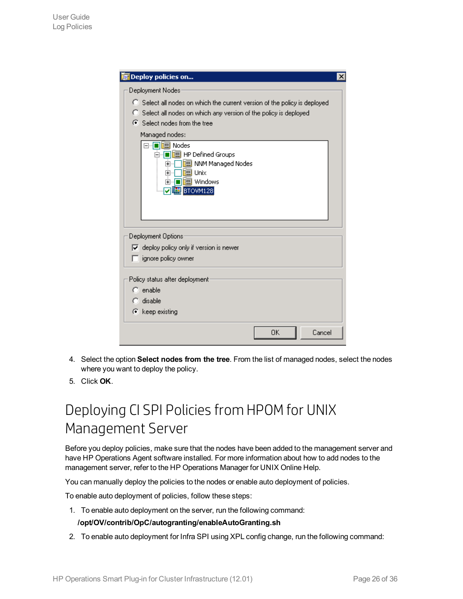| Deploy policies on                                                                                                                                                                                                                                             |  |
|----------------------------------------------------------------------------------------------------------------------------------------------------------------------------------------------------------------------------------------------------------------|--|
| Deployment Nodes                                                                                                                                                                                                                                               |  |
| C Select all nodes on which the current version of the policy is deployed<br>C Select all nodes on which any version of the policy is deployed<br>○ Select nodes from the tree<br>Managed nodes:<br>⊟… <mark>∏ile</mark> l Nodes<br>白… ■     HP Defined Groups |  |
| □□ NNM Managed Nodes<br>审<br>画 Unix<br>$\overline{\mathbf{r}}$<br>ll <sup>l</sup> lell Windows<br>ஈ<br><b>DUE BTOVM128</b>                                                                                                                                     |  |
| Deployment Options                                                                                                                                                                                                                                             |  |
| $\overline{\triangledown}$ deploy policy only if version is newer                                                                                                                                                                                              |  |
| ignore policy owner                                                                                                                                                                                                                                            |  |
| Policy status after deployment:<br>$\bigcap$ enable<br>$\bigcap$ disable                                                                                                                                                                                       |  |
| C keep existing                                                                                                                                                                                                                                                |  |
|                                                                                                                                                                                                                                                                |  |
| 0K<br>Cancel                                                                                                                                                                                                                                                   |  |

- 4. Select the option **Select nodes from the tree**. From the list of managed nodes, select the nodes where you want to deploy the policy.
- <span id="page-25-0"></span>5. Click **OK**.

## Deploying CI SPI Policies from HPOM for UNIX Management Server

Before you deploy policies, make sure that the nodes have been added to the management server and have HP Operations Agent software installed. For more information about how to add nodes to the management server, refer to the HP Operations Manager for UNIX Online Help.

You can manually deploy the policies to the nodes or enable auto deployment of policies.

To enable auto deployment of policies, follow these steps:

1. To enable auto deployment on the server, run the following command:

#### **/opt/OV/contrib/OpC/autogranting/enableAutoGranting.sh**

2. To enable auto deployment for Infra SPI using XPL config change, run the following command: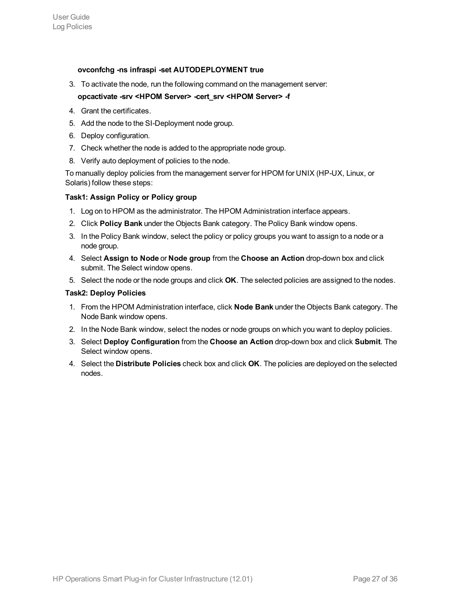#### **ovconfchg -ns infraspi -set AUTODEPLOYMENT true**

3. To activate the node, run the following command on the management server:

#### **opcactivate -srv <HPOM Server> -cert\_srv <HPOM Server> -f**

- 4. Grant the certificates.
- 5. Add the node to the SI-Deployment node group.
- 6. Deploy configuration.
- 7. Check whether the node is added to the appropriate node group.
- 8. Verify auto deployment of policies to the node.

To manually deploy policies from the management server for HPOM for UNIX (HP-UX, Linux, or Solaris) follow these steps:

#### **Task1: Assign Policy or Policy group**

- 1. Log on to HPOM as the administrator. The HPOM Administration interface appears.
- 2. Click **Policy Bank** under the Objects Bank category. The Policy Bank window opens.
- 3. In the Policy Bank window, select the policy or policy groups you want to assign to a node or a node group.
- 4. Select **Assign to Node** or **Node group** from the **Choose an Action** drop-down box and click submit. The Select window opens.
- 5. Select the node or the node groups and click **OK**. The selected policies are assigned to the nodes.

#### **Task2: Deploy Policies**

- 1. From the HPOM Administration interface, click **Node Bank** under the Objects Bank category. The Node Bank window opens.
- 2. In the Node Bank window, select the nodes or node groups on which you want to deploy policies.
- 3. Select **Deploy Configuration** from the **Choose an Action** drop-down box and click **Submit**. The Select window opens.
- 4. Select the **Distribute Policies** check box and click **OK**. The policies are deployed on the selected nodes.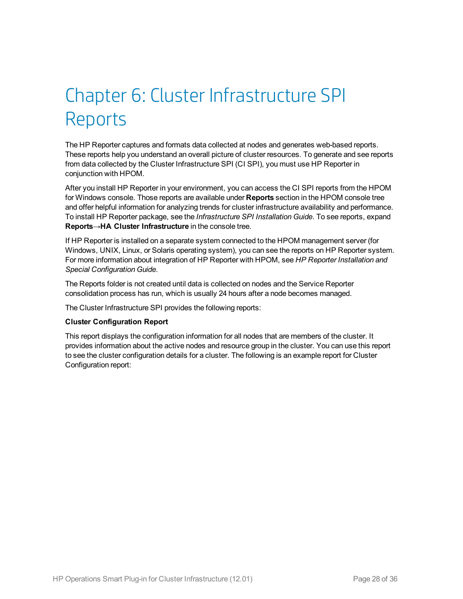# <span id="page-27-0"></span>Chapter 6: Cluster Infrastructure SPI Reports

The HP Reporter captures and formats data collected at nodes and generates web-based reports. These reports help you understand an overall picture of cluster resources. To generate and see reports from data collected by the Cluster Infrastructure SPI (CI SPI), you must use HP Reporter in conjunction with HPOM.

After you install HP Reporter in your environment, you can access the CI SPI reports from the HPOM for Windows console. Those reports are available under **Reports** section in the HPOM console tree and offer helpful information for analyzing trends for cluster infrastructure availability and performance. To install HP Reporter package, see the *Infrastructure SPI Installation Guide*. To see reports, expand **Reports→HA Cluster Infrastructure** in the console tree.

If HP Reporter is installed on a separate system connected to the HPOM management server (for Windows, UNIX, Linux, or Solaris operating system), you can see the reports on HP Reporter system. For more information about integration of HP Reporter with HPOM, see *HP Reporter Installation and Special Configuration Guide*.

The Reports folder is not created until data is collected on nodes and the Service Reporter consolidation process has run, which is usually 24 hours after a node becomes managed.

The Cluster Infrastructure SPI provides the following reports:

#### **Cluster Configuration Report**

This report displays the configuration information for all nodes that are members of the cluster. It provides information about the active nodes and resource group in the cluster. You can use this report to see the cluster configuration details for a cluster. The following is an example report for Cluster Configuration report: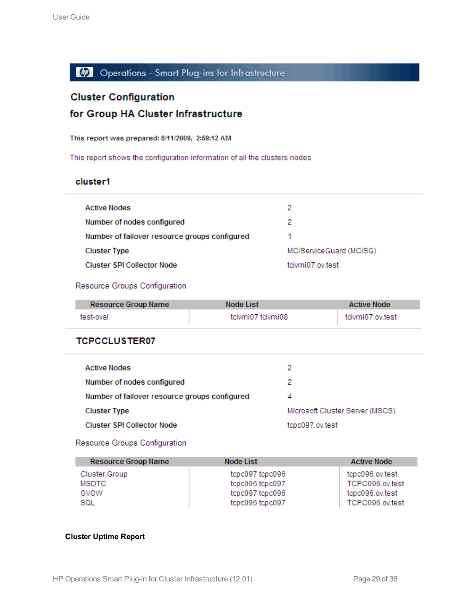### Operations - Smart Plug-ins for Infrastructure

### **Cluster Configuration**

### for Group HA Cluster Infrastructure

#### This report was prepared: 8/11/2009, 2:59:12 AM

This report shows the configuration information of all the clusters nodes

#### cluster1

| <b>Active Nodes</b>                           | 2                       |
|-----------------------------------------------|-------------------------|
| Number of nodes configured                    | 2                       |
| Number of failover resource groups configured |                         |
| <b>Cluster Type</b>                           | MC/ServiceGuard (MC/SG) |
| Cluster SPI Collector Node                    | tcivmi07 ov test        |

#### Resource Groups Configuration

| Resource Group Name | Node List         | Active Node      |
|---------------------|-------------------|------------------|
| test-oval           | tcivmi07 tcivmi08 | tcivmi07.ov.test |

#### **TCPCCLUSTER07**

| <b>Active Nodes</b>                           | 2                               |
|-----------------------------------------------|---------------------------------|
| Number of nodes configured                    | 2                               |
| Number of failover resource groups configured | 4                               |
| <b>Cluster Type</b>                           | Microsoft Cluster Server (MSCS) |
| Cluster SPI Collector Node                    | tcpc097.ov.test                 |

#### Resource Groups Configuration

| <b>Resource Group Name</b> | Node List       | <b>Active Node</b> |
|----------------------------|-----------------|--------------------|
| Cluster Group              | tcpc097 tcpc096 | tcpc096.ov.test    |
| <b>MSDTC</b>               | tcpc096 tcpc097 | TCPC096.ov.test    |
| ovow                       | tcpc097 tcpc096 | tcpc096.ov.test    |
| SQL                        | tcpc096 tcpc097 | TCPC096.ov.test    |

#### **Cluster Uptime Report**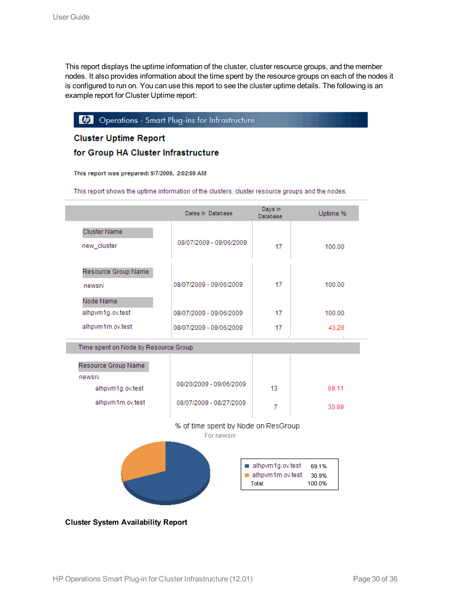This report displays the uptime information of the cluster, cluster resource groups, and the member nodes. It also provides information about the time spent by the resource groups on each of the nodes it is configured to run on. You can use this report to see the cluster uptime details. The following is an example report for Cluster Uptime report:

#### (b) Operations - Smart Plug-ins for Infrastructure

#### **Cluster Uptime Report**

#### for Group HA Cluster Infrastructure

This report was prepared: 9/7/2009, 2:02:59 AM

This report shows the uptime information of the clusters, cluster resource groups and the nodes.

|                                                                                                                                 | Dates in Database                    | Days in<br>Database | Uptime % |  |  |  |
|---------------------------------------------------------------------------------------------------------------------------------|--------------------------------------|---------------------|----------|--|--|--|
| Cluster Name<br>new_cluster                                                                                                     | 08/07/2009 - 09/06/2009              | 17                  | 100.00   |  |  |  |
| Resource Group Name<br>newsrv<br>Node Name                                                                                      | 08/07/2009 - 09/06/2009              | 17                  | 100.00   |  |  |  |
| alhpvm1g.ov.test                                                                                                                | 08/07/2009 - 09/06/2009              | 17                  | 100.00   |  |  |  |
| alhpvm1m.ov.test                                                                                                                | 08/07/2009 - 09/06/2009              | 17                  | 43.29    |  |  |  |
| Resource Group Name                                                                                                             | Time spent on Node by Resource Group |                     |          |  |  |  |
| newsrv<br>alhpvm1g.ov.test                                                                                                      | 08/20/2009 - 09/06/2009              | 13                  | 69.11    |  |  |  |
| alhpvm1m.ov.test                                                                                                                | 08/07/2009 - 08/27/2009              |                     | 30.89    |  |  |  |
| % of time spent by Node on ResGroup<br>For newsry<br>alhpvm1g.ov.test<br>69.1%<br>alhpvm1m.ov.test<br>30.9%<br>Total:<br>100.0% |                                      |                     |          |  |  |  |

**Cluster System Availability Report**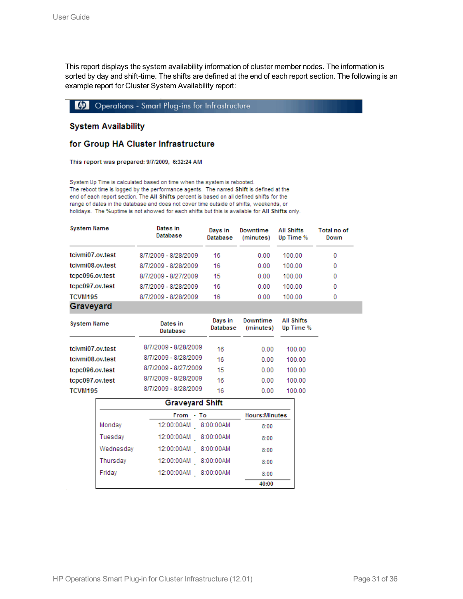This report displays the system availability information of cluster member nodes. The information is sorted by day and shift-time. The shifts are defined at the end of each report section. The following is an example report for Cluster System Availability report:

Operations - Smart Plug-ins for Infrastructure

#### **System Availability**

#### for Group HA Cluster Infrastructure

This report was prepared: 9/7/2009, 6:32:24 AM

System Up Time is calculated based on time when the system is rebooted. The reboot time is logged by the performance agents. The named Shift is defined at the end of each report section. The All Shifts percent is based on all defined shifts for the range of dates in the database and does not cover time outside of shifts, weekends, or holidays. The %uptime is not showed for each shifts but this is available for All Shifts only.

| <b>System Name</b>  | Dates in<br>Database | Days in<br>Database | Downtime<br>(minutes) | <b>All Shifts</b><br>Up Time % | Total no of<br>Down |
|---------------------|----------------------|---------------------|-----------------------|--------------------------------|---------------------|
| tcivmi07.ov.test    | 8/7/2009 - 8/28/2009 | 16                  | 0.00                  | 100.00                         | 0                   |
| tcivmi08.ov.test    | 8/7/2009 - 8/28/2009 | 16                  | 0.00                  | 100.00                         | 0                   |
| tcpc096.ov.test     | 8/7/2009 - 8/27/2009 | 15                  | 0.00                  | 100.00                         | 0                   |
| tcpc097.ov.test     | 8/7/2009 - 8/28/2009 | 16                  | 0.00                  | 100.00                         | 0                   |
| TCVM <sub>195</sub> | 8/7/2009 - 8/28/2009 | 16                  | 0.00                  | 100.00                         | 0                   |
| Graveyard           |                      |                     |                       |                                |                     |

| <b>System Name</b> | Dates in<br>Database | Davs in<br>Database | Downtime<br>(minutes) | <b>All Shifts</b><br>Up Time % |
|--------------------|----------------------|---------------------|-----------------------|--------------------------------|
| tcivmi07.ov.test   | 8/7/2009 - 8/28/2009 | 16                  | 0.00                  | 100.00                         |
| tcivmi08.ov.test   | 8/7/2009 - 8/28/2009 | 16                  | 0.00                  | 100.00                         |
| tcpc096.ov.test    | 8/7/2009 - 8/27/2009 | 15                  | 0.00                  | 100.00                         |
| tcpc097.ov.test    | 8/7/2009 - 8/28/2009 | 16                  | 0.00                  | 100.00                         |
| TCVM195            | 8/7/2009 - 8/28/2009 | 16                  | 0.00                  | 100.00                         |

| <b>Graveyard Shift</b>            |                         |       |  |  |  |
|-----------------------------------|-------------------------|-------|--|--|--|
| <b>Hours:Minutes</b><br>From - To |                         |       |  |  |  |
| Monday                            | 12:00:00AM<br>8:00:00AM | 8:00  |  |  |  |
| Tuesday                           | 8:00:00AM<br>12:00:00AM | 8:00  |  |  |  |
| Wednesday                         | 8:00:00AM<br>12:00:00AM | 8:00  |  |  |  |
| Thursday                          | 8:00:00AM<br>12:00:00AM | 8:00  |  |  |  |
| Friday                            | 8:00:00AM<br>12:00:00AM | 8:00  |  |  |  |
|                                   |                         | 40:00 |  |  |  |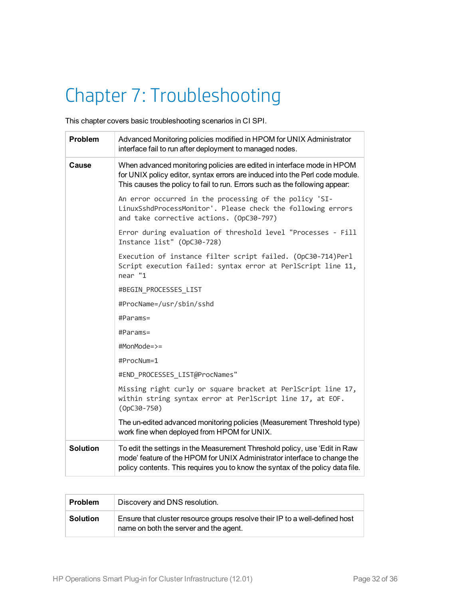# <span id="page-31-0"></span>Chapter 7: Troubleshooting

This chapter covers basic troubleshooting scenarios in CI SPI.

| <b>Problem</b>  | Advanced Monitoring policies modified in HPOM for UNIX Administrator<br>interface fail to run after deployment to managed nodes.                                                                                                         |
|-----------------|------------------------------------------------------------------------------------------------------------------------------------------------------------------------------------------------------------------------------------------|
| Cause           | When advanced monitoring policies are edited in interface mode in HPOM<br>for UNIX policy editor, syntax errors are induced into the Perl code module.<br>This causes the policy to fail to run. Errors such as the following appear:    |
|                 | An error occurred in the processing of the policy 'SI-<br>LinuxSshdProcessMonitor'. Please check the following errors<br>and take corrective actions. (OpC30-797)                                                                        |
|                 | Error during evaluation of threshold level "Processes - Fill<br>Instance list" (OpC30-728)                                                                                                                                               |
|                 | Execution of instance filter script failed. (OpC30-714)Perl<br>Script execution failed: syntax error at PerlScript line 11,<br>near "1                                                                                                   |
|                 | #BEGIN PROCESSES LIST                                                                                                                                                                                                                    |
|                 | #ProcName=/usr/sbin/sshd                                                                                                                                                                                                                 |
|                 | #Params=                                                                                                                                                                                                                                 |
|                 | $#Parameters =$                                                                                                                                                                                                                          |
|                 | #MonMode=>=                                                                                                                                                                                                                              |
|                 | #ProcNum=1                                                                                                                                                                                                                               |
|                 | #END PROCESSES LIST@ProcNames"                                                                                                                                                                                                           |
|                 | Missing right curly or square bracket at PerlScript line 17,<br>within string syntax error at PerlScript line 17, at EOF.<br>$(OpC30 - 750)$                                                                                             |
|                 | The un-edited advanced monitoring policies (Measurement Threshold type)<br>work fine when deployed from HPOM for UNIX.                                                                                                                   |
| <b>Solution</b> | To edit the settings in the Measurement Threshold policy, use 'Edit in Raw<br>mode' feature of the HPOM for UNIX Administrator interface to change the<br>policy contents. This requires you to know the syntax of the policy data file. |

| <b>Problem</b>  | Discovery and DNS resolution.                                                                                         |
|-----------------|-----------------------------------------------------------------------------------------------------------------------|
| <b>Solution</b> | Ensure that cluster resource groups resolve their IP to a well-defined host<br>name on both the server and the agent. |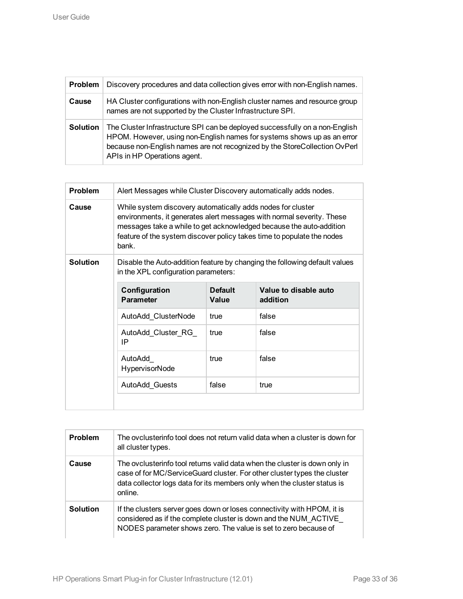| Problem         | Discovery procedures and data collection gives error with non-English names.                                                                                                                                                                                          |
|-----------------|-----------------------------------------------------------------------------------------------------------------------------------------------------------------------------------------------------------------------------------------------------------------------|
| Cause           | HA Cluster configurations with non-English cluster names and resource group<br>names are not supported by the Cluster Infrastructure SPI.                                                                                                                             |
| <b>Solution</b> | The Cluster Infrastructure SPI can be deployed successfully on a non-English<br>HPOM. However, using non-English names for systems shows up as an error<br>because non-English names are not recognized by the StoreCollection OvPerl<br>APIs in HP Operations agent. |

| Problem         | Alert Messages while Cluster Discovery automatically adds nodes.                                                                                                                                                                                                                               |                |                                                                                                     |  |
|-----------------|------------------------------------------------------------------------------------------------------------------------------------------------------------------------------------------------------------------------------------------------------------------------------------------------|----------------|-----------------------------------------------------------------------------------------------------|--|
| Cause           | While system discovery automatically adds nodes for cluster<br>environments, it generates alert messages with normal severity. These<br>messages take a while to get acknowledged because the auto-addition<br>feature of the system discover policy takes time to populate the nodes<br>bank. |                |                                                                                                     |  |
| <b>Solution</b> | in the XPL configuration parameters:<br>Configuration                                                                                                                                                                                                                                          | <b>Default</b> | Disable the Auto-addition feature by changing the following default values<br>Value to disable auto |  |
|                 | <b>Parameter</b>                                                                                                                                                                                                                                                                               | Value          | addition                                                                                            |  |
|                 | AutoAdd ClusterNode                                                                                                                                                                                                                                                                            | true           | false                                                                                               |  |
|                 | AutoAdd Cluster RG<br>IP                                                                                                                                                                                                                                                                       | true           | false                                                                                               |  |
|                 | AutoAdd<br><b>HypervisorNode</b>                                                                                                                                                                                                                                                               | true           | false                                                                                               |  |
|                 | AutoAdd_Guests                                                                                                                                                                                                                                                                                 | false          | true                                                                                                |  |
|                 |                                                                                                                                                                                                                                                                                                |                |                                                                                                     |  |

| <b>Problem</b>  | The ovclusterinfo tool does not return valid data when a cluster is down for<br>all cluster types.                                                                                                                                            |
|-----------------|-----------------------------------------------------------------------------------------------------------------------------------------------------------------------------------------------------------------------------------------------|
| Cause           | The ovclusterinfo tool returns valid data when the cluster is down only in<br>case of for MC/ServiceGuard cluster. For other cluster types the cluster<br>data collector logs data for its members only when the cluster status is<br>online. |
| <b>Solution</b> | If the clusters server goes down or loses connectivity with HPOM, it is<br>considered as if the complete cluster is down and the NUM ACTIVE<br>NODES parameter shows zero. The value is set to zero because of                                |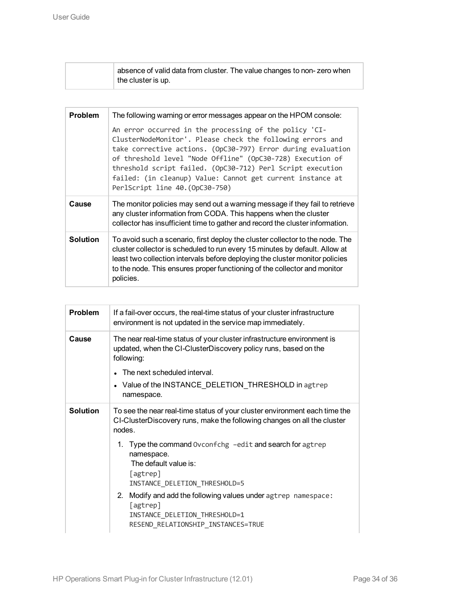| absence of valid data from cluster. The value changes to non-zero when |
|------------------------------------------------------------------------|
| the cluster is up.                                                     |

| <b>Problem</b>  | The following warning or error messages appear on the HPOM console:                                                                                                                                                                                                                                                                                                                                               |  |  |
|-----------------|-------------------------------------------------------------------------------------------------------------------------------------------------------------------------------------------------------------------------------------------------------------------------------------------------------------------------------------------------------------------------------------------------------------------|--|--|
|                 | An error occurred in the processing of the policy 'CI-<br>ClusterNodeMonitor'. Please check the following errors and<br>take corrective actions. (OpC30-797) Error during evaluation<br>of threshold level "Node Offline" (OpC30-728) Execution of<br>threshold script failed. (OpC30-712) Perl Script execution<br>failed: (in cleanup) Value: Cannot get current instance at<br>PerlScript line 40. (OpC30-750) |  |  |
| Cause           | The monitor policies may send out a warning message if they fail to retrieve<br>any cluster information from CODA. This happens when the cluster<br>collector has insufficient time to gather and record the cluster information.                                                                                                                                                                                 |  |  |
| <b>Solution</b> | To avoid such a scenario, first deploy the cluster collector to the node. The<br>cluster collector is scheduled to run every 15 minutes by default. Allow at<br>least two collection intervals before deploying the cluster monitor policies<br>to the node. This ensures proper functioning of the collector and monitor<br>policies.                                                                            |  |  |

| Problem         | If a fail-over occurs, the real-time status of your cluster infrastructure<br>environment is not updated in the service map immediately.                        |  |  |  |
|-----------------|-----------------------------------------------------------------------------------------------------------------------------------------------------------------|--|--|--|
| Cause           | The near real-time status of your cluster infrastructure environment is<br>updated, when the CI-ClusterDiscovery policy runs, based on the<br>following:        |  |  |  |
|                 | The next scheduled interval.                                                                                                                                    |  |  |  |
|                 | • Value of the INSTANCE_DELETION_THRESHOLD in agtrep<br>namespace.                                                                                              |  |  |  |
| <b>Solution</b> | To see the near real-time status of your cluster environment each time the<br>CI-ClusterDiscovery runs, make the following changes on all the cluster<br>nodes. |  |  |  |
|                 | 1. Type the command Ovconfchg -edit and search for agtrep<br>namespace.<br>The default value is:<br>[agtrep]<br>INSTANCE_DELETION_THRESHOLD=5                   |  |  |  |
|                 | 2.<br>Modify and add the following values under agtrep namespace:<br>[agtrep]<br>INSTANCE_DELETION_THRESHOLD=1<br>RESEND_RELATIONSHIP_INSTANCES=TRUE            |  |  |  |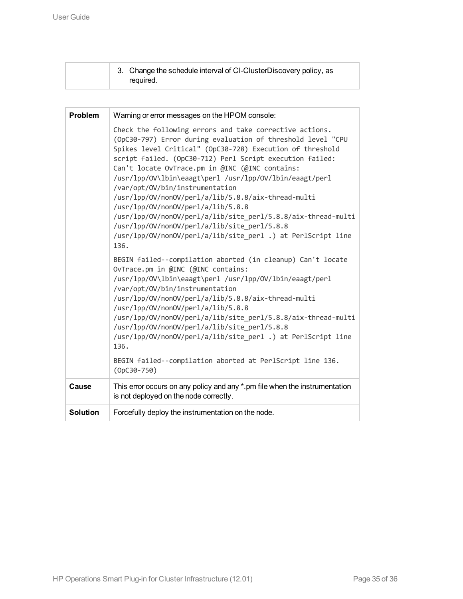|  | 3. Change the schedule interval of CI-ClusterDiscovery policy, as |
|--|-------------------------------------------------------------------|
|  | reguired.                                                         |

| <b>Problem</b>  | Warning or error messages on the HPOM console:                                                                                                                                                                                                                                                                                                                                                                                                                                                                                                                                                                                                                                         |  |  |
|-----------------|----------------------------------------------------------------------------------------------------------------------------------------------------------------------------------------------------------------------------------------------------------------------------------------------------------------------------------------------------------------------------------------------------------------------------------------------------------------------------------------------------------------------------------------------------------------------------------------------------------------------------------------------------------------------------------------|--|--|
|                 | Check the following errors and take corrective actions.<br>(OpC30-797) Error during evaluation of threshold level "CPU<br>Spikes level Critical" (OpC30-728) Execution of threshold<br>script failed. (OpC30-712) Perl Script execution failed:<br>Can't locate OvTrace.pm in @INC (@INC contains:<br>/usr/lpp/0V\lbin\eaagt\perl /usr/lpp/0V/lbin/eaagt/perl<br>/var/opt/0V/bin/instrumentation<br>/usr/lpp/0V/non0V/perl/a/lib/5.8.8/aix-thread-multi<br>/usr/lpp/0V/non0V/perl/a/lib/5.8.8<br>/usr/lpp/0V/non0V/perl/a/lib/site_perl/5.8.8/aix-thread-multi<br>/usr/lpp/0V/non0V/perl/a/lib/site_perl/5.8.8<br>/usr/lpp/0V/non0V/perl/a/lib/site_perl .) at PerlScript line<br>136. |  |  |
|                 | BEGIN failed--compilation aborted (in cleanup) Can't locate<br>OvTrace.pm in @INC (@INC contains:<br>/usr/lpp/0V\lbin\eaagt\perl /usr/lpp/0V/lbin/eaagt/perl<br>/var/opt/0V/bin/instrumentation<br>/usr/lpp/0V/non0V/perl/a/lib/5.8.8/aix-thread-multi<br>/usr/lpp/0V/non0V/perl/a/lib/5.8.8<br>/usr/lpp/0V/non0V/perl/a/lib/site_perl/5.8.8/aix-thread-multi<br>/usr/lpp/0V/non0V/perl/a/lib/site_perl/5.8.8<br>/usr/lpp/0V/non0V/perl/a/lib/site_perl .) at PerlScript line<br>136.                                                                                                                                                                                                  |  |  |
|                 | BEGIN failed--compilation aborted at PerlScript line 136.<br>$(OpC30 - 750)$                                                                                                                                                                                                                                                                                                                                                                                                                                                                                                                                                                                                           |  |  |
| Cause           | This error occurs on any policy and any *.pm file when the instrumentation<br>is not deployed on the node correctly.                                                                                                                                                                                                                                                                                                                                                                                                                                                                                                                                                                   |  |  |
| <b>Solution</b> | Forcefully deploy the instrumentation on the node.                                                                                                                                                                                                                                                                                                                                                                                                                                                                                                                                                                                                                                     |  |  |